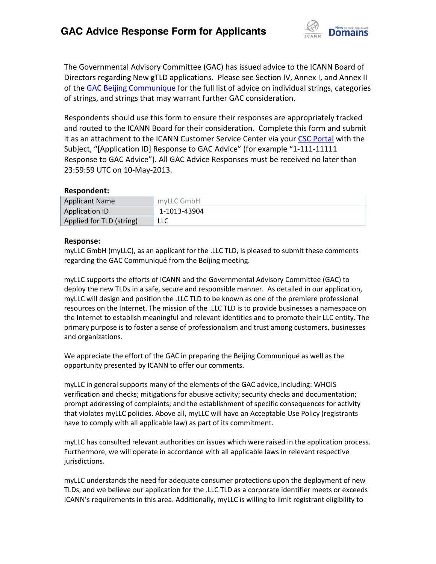

The Governmental Advisory Committee (GAC) has issued advice to the ICANN Board of Directors regarding New gTLD applications. Please see Section IV, Annex I, and Annex II of th[e GAC Beijing Communique](http://www.icann.org/en/news/correspondence/gac-to-board-18apr13-en.pdf) for the full list of advice on individual strings, categories of strings, and strings that may warrant further GAC consideration.

Respondents should use this form to ensure their responses are appropriately tracked and routed to the ICANN Board for their consideration. Complete this form and submit it as an attachment to the ICANN Customer Service Center via your CSC [Portal](https://myicann.secure.force.com/) with the Subject, "[Application ID] Response to GAC Advice" (for example "1-111-11111 Response to GAC Advice"). All GAC Advice Responses must be received no later than 23:59:59 UTC on 10-May-2013.

## **Respondent:**

| <b>Applicant Name</b>    | myLLC GmbH   |
|--------------------------|--------------|
| Application ID           | 1-1013-43904 |
| Applied for TLD (string) | LLC          |

## **Response:**

myLLC GmbH (myLLC), as an applicant for the .LLC TLD, is pleased to submit these comments regarding the GAC Communiqué from the Beijing meeting.

myLLC supports the efforts of ICANN and the Governmental Advisory Committee (GAC) to deploy the new TLDs in a safe, secure and responsible manner. As detailed in our application, myLLC will design and position the .LLC TLD to be known as one of the premiere professional resources on the Internet. The mission of the .LLC TLD is to provide businesses a namespace on the Internet to establish meaningful and relevant identities and to promote their LLC entity. The primary purpose is to foster a sense of professionalism and trust among customers, businesses and organizations.

We appreciate the effort of the GAC in preparing the Beijing Communiqué as well as the opportunity presented by ICANN to offer our comments.

myLLC in general supports many of the elements of the GAC advice, including: WHOIS verification and checks; mitigations for abusive activity; security checks and documentation; prompt addressing of complaints; and the establishment of specific consequences for activity that violates myLLC policies. Above all, myLLC will have an Acceptable Use Policy (registrants have to comply with all applicable law) as part of its commitment.

myLLC has consulted relevant authorities on issues which were raised in the application process. Furthermore, we will operate in accordance with all applicable laws in relevant respective jurisdictions.

myLLC understands the need for adequate consumer protections upon the deployment of new TLDs, and we believe our application for the .LLC TLD as a corporate identifier meets or exceeds ICANN's requirements in this area. Additionally, myLLC is willing to limit registrant eligibility to